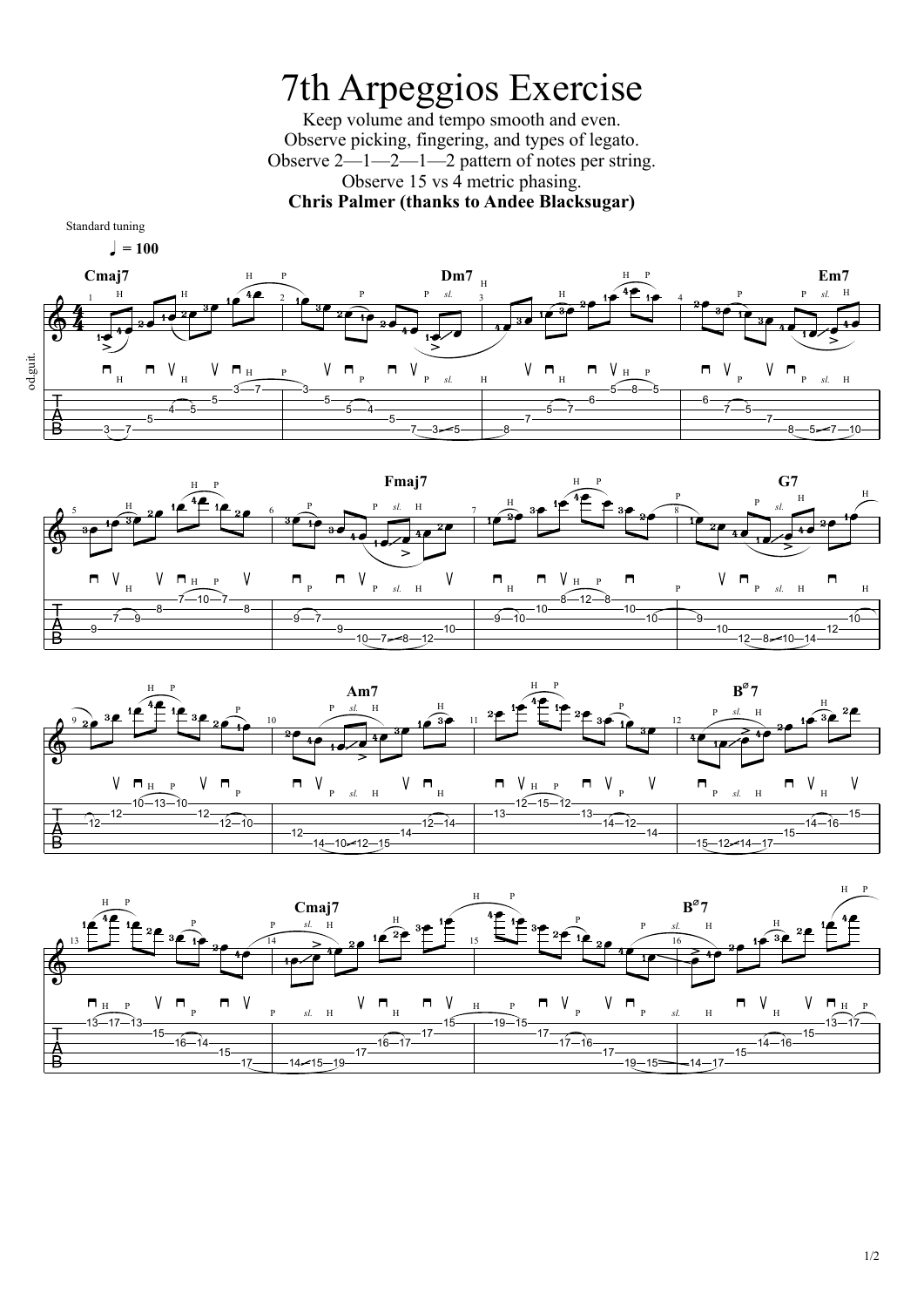## 7th Arpeggios Exercise Keep volume and tempo smooth and even. Observe picking, fingering, and types of legato. Observe 2—1—2—1—2 pattern of notes per string. Observe 15 vs 4 metric phasing. **Chris Palmer (thanks to Andee Blacksugar)**

Standard tuning

 $l = 100$